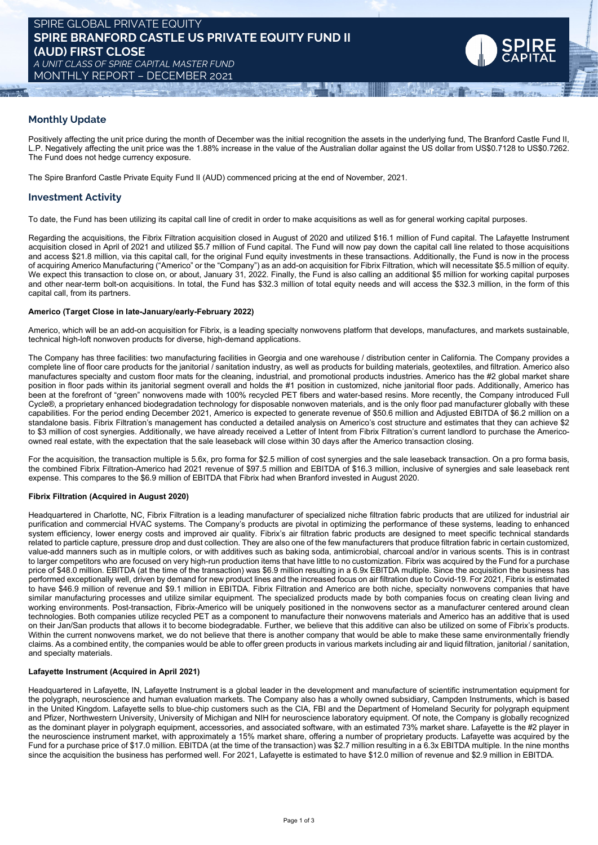

## **Monthly Update**

Positively affecting the unit price during the month of December was the initial recognition the assets in the underlying fund, The Branford Castle Fund II, L.P. Negatively affecting the unit price was the 1.88% increase in the value of the Australian dollar against the US dollar from US\$0.7128 to US\$0.7262. The Fund does not hedge currency exposure.

The Spire Branford Castle Private Equity Fund II (AUD) commenced pricing at the end of November, 2021.

## **Investment Activity**

To date, the Fund has been utilizing its capital call line of credit in order to make acquisitions as well as for general working capital purposes.

Regarding the acquisitions, the Fibrix Filtration acquisition closed in August of 2020 and utilized \$16.1 million of Fund capital. The Lafayette Instrument acquisition closed in April of 2021 and utilized \$5.7 million of Fund capital. The Fund will now pay down the capital call line related to those acquisitions and access \$21.8 million, via this capital call, for the original Fund equity investments in these transactions. Additionally, the Fund is now in the process of acquiring Americo Manufacturing ("Americo" or the "Company") as an add-on acquisition for Fibrix Filtration, which will necessitate \$5.5 million of equity. We expect this transaction to close on, or about, January 31, 2022. Finally, the Fund is also calling an additional \$5 million for working capital purposes and other near-term bolt-on acquisitions. In total, the Fund has \$32.3 million of total equity needs and will access the \$32.3 million, in the form of this capital call, from its partners.

#### **Americo (Target Close in late-January/early-February 2022)**

Americo, which will be an add-on acquisition for Fibrix, is a leading specialty nonwovens platform that develops, manufactures, and markets sustainable, technical high-loft nonwoven products for diverse, high-demand applications.

The Company has three facilities: two manufacturing facilities in Georgia and one warehouse / distribution center in California. The Company provides a complete line of floor care products for the janitorial / sanitation industry, as well as products for building materials, geotextiles, and filtration. Americo also manufactures specialty and custom floor mats for the cleaning, industrial, and promotional products industries. Americo has the #2 global market share position in floor pads within its janitorial segment overall and holds the #1 position in customized, niche janitorial floor pads. Additionally, Americo has been at the forefront of "green" nonwovens made with 100% recycled PET fibers and water-based resins. More recently, the Company introduced Full Cycle®, a proprietary enhanced biodegradation technology for disposable nonwoven materials, and is the only floor pad manufacturer globally with these capabilities. For the period ending December 2021, Americo is expected to generate revenue of \$50.6 million and Adjusted EBITDA of \$6.2 million on a standalone basis. Fibrix Filtration's management has conducted a detailed analysis on Americo's cost structure and estimates that they can achieve \$2 to \$3 million of cost synergies. Additionally, we have already received a Letter of Intent from Fibrix Filtration's current landlord to purchase the Americoowned real estate, with the expectation that the sale leaseback will close within 30 days after the Americo transaction closing.

For the acquisition, the transaction multiple is 5.6x, pro forma for \$2.5 million of cost synergies and the sale leaseback transaction. On a pro forma basis, the combined Fibrix Filtration-Americo had 2021 revenue of \$97.5 million and EBITDA of \$16.3 million, inclusive of synergies and sale leaseback rent expense. This compares to the \$6.9 million of EBITDA that Fibrix had when Branford invested in August 2020.

### **Fibrix Filtration (Acquired in August 2020)**

Headquartered in Charlotte, NC, Fibrix Filtration is a leading manufacturer of specialized niche filtration fabric products that are utilized for industrial air purification and commercial HVAC systems. The Company's products are pivotal in optimizing the performance of these systems, leading to enhanced system efficiency, lower energy costs and improved air quality. Fibrix's air filtration fabric products are designed to meet specific technical standards related to particle capture, pressure drop and dust collection. They are also one of the few manufacturers that produce filtration fabric in certain customized, value-add manners such as in multiple colors, or with additives such as baking soda, antimicrobial, charcoal and/or in various scents. This is in contrast to larger competitors who are focused on very high-run production items that have little to no customization. Fibrix was acquired by the Fund for a purchase price of \$48.0 million. EBITDA (at the time of the transaction) was \$6.9 million resulting in a 6.9x EBITDA multiple. Since the acquisition the business has performed exceptionally well, driven by demand for new product lines and the increased focus on air filtration due to Covid-19. For 2021, Fibrix is estimated to have \$46.9 million of revenue and \$9.1 million in EBITDA. Fibrix Filtration and Americo are both niche, specialty nonwovens companies that have similar manufacturing processes and utilize similar equipment. The specialized products made by both companies focus on creating clean living and working environments. Post-transaction, Fibrix-Americo will be uniquely positioned in the nonwovens sector as a manufacturer centered around clean technologies. Both companies utilize recycled PET as a component to manufacture their nonwovens materials and Americo has an additive that is used on their Jan/San products that allows it to become biodegradable. Further, we believe that this additive can also be utilized on some of Fibrix's products. Within the current nonwovens market, we do not believe that there is another company that would be able to make these same environmentally friendly claims. As a combined entity, the companies would be able to offer green products in various markets including air and liquid filtration, janitorial / sanitation, and specialty materials.

#### **Lafayette Instrument (Acquired in April 2021)**

Headquartered in Lafayette, IN, Lafayette Instrument is a global leader in the development and manufacture of scientific instrumentation equipment for the polygraph, neuroscience and human evaluation markets. The Company also has a wholly owned subsidiary, Campden Instruments, which is based in the United Kingdom. Lafayette sells to blue-chip customers such as the CIA, FBI and the Department of Homeland Security for polygraph equipment and Pfizer, Northwestern University, University of Michigan and NIH for neuroscience laboratory equipment. Of note, the Company is globally recognized as the dominant player in polygraph equipment, accessories, and associated software, with an estimated 73% market share. Lafayette is the #2 player in the neuroscience instrument market, with approximately a 15% market share, offering a number of proprietary products. Lafayette was acquired by the Fund for a purchase price of \$17.0 million. EBITDA (at the time of the transaction) was \$2.7 million resulting in a 6.3x EBITDA multiple. In the nine months since the acquisition the business has performed well. For 2021, Lafayette is estimated to have \$12.0 million of revenue and \$2.9 million in EBITDA.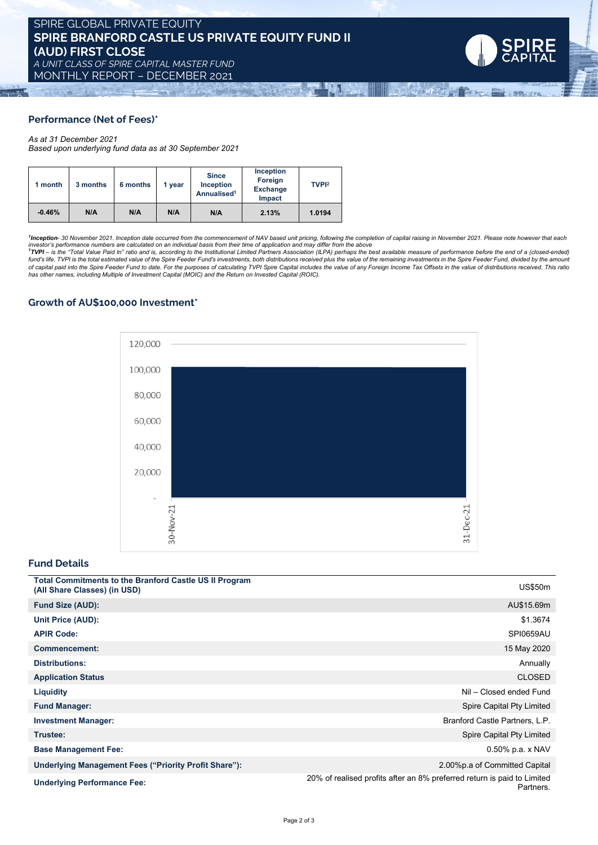**Although Ad** 

# **Performance (Net of Fees)\***

### *As at 31 December 2021*

*Based upon underlying fund data as at 30 September 2021*

| 1 month  | 3 months | 6 months | 1 vear | <b>Since</b><br>Inception<br>Annualised <sup>1</sup> | Inception<br>Foreign<br><b>Exchange</b><br><b>Impact</b> | TVPI <sup>2</sup> |
|----------|----------|----------|--------|------------------------------------------------------|----------------------------------------------------------|-------------------|
| $-0.46%$ | N/A      | N/A      | N/A    | N/A                                                  | 2.13%                                                    | 1.0194            |

<sup>1</sup>Inception- 30 November 2021. Inception date occurred from the commencement of NAV based unit pricing, following the completion of capital raising in November 2021. Please note however that each<br>investor's performance nu of capital paid into the Spire Feeder Fund to date. For the purposes of calculating TVPI Spire Capital includes the value of any Foreign Income Tax Offsets in the value of distributions received. This ratio *has other names, including Multiple of Investment Capital (MOIC) and the Return on Invested Capital (ROIC).*

## **Growth of AU\$100,000 Investment\***



### **Fund Details**

| <b>Total Commitments to the Branford Castle US II Program</b><br>(All Share Classes) (in USD) | <b>US\$50m</b>                                                                       |
|-----------------------------------------------------------------------------------------------|--------------------------------------------------------------------------------------|
| <b>Fund Size (AUD):</b>                                                                       | AU\$15.69m                                                                           |
| Unit Price (AUD):                                                                             | \$1.3674                                                                             |
| <b>APIR Code:</b>                                                                             | SPI0659AU                                                                            |
| <b>Commencement:</b>                                                                          | 15 May 2020                                                                          |
| <b>Distributions:</b>                                                                         | Annually                                                                             |
| <b>Application Status</b>                                                                     | <b>CLOSED</b>                                                                        |
| <b>Liquidity</b>                                                                              | Nil - Closed ended Fund                                                              |
| <b>Fund Manager:</b>                                                                          | Spire Capital Pty Limited                                                            |
| <b>Investment Manager:</b>                                                                    | Branford Castle Partners, L.P.                                                       |
| Trustee:                                                                                      | Spire Capital Pty Limited                                                            |
| <b>Base Management Fee:</b>                                                                   | $0.50\%$ p.a. x NAV                                                                  |
| Underlying Management Fees ("Priority Profit Share"):                                         | 2.00% p.a of Committed Capital                                                       |
| <b>Underlying Performance Fee:</b>                                                            | 20% of realised profits after an 8% preferred return is paid to Limited<br>Partners. |